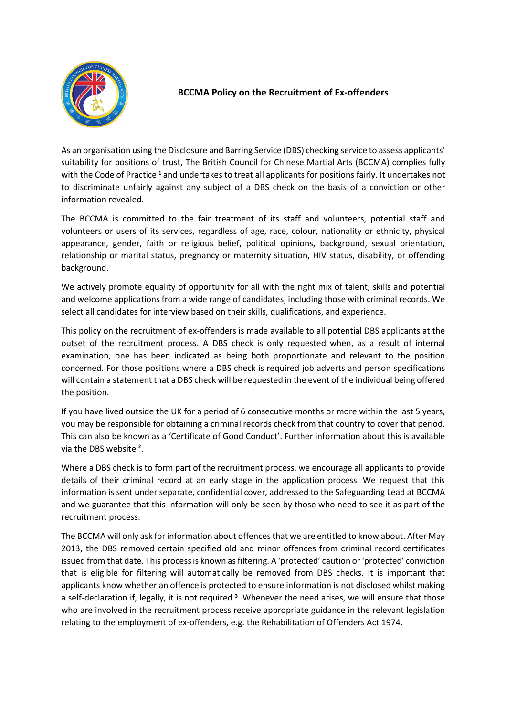

## **BCCMA Policy on the Recruitment of Ex-offenders**

As an organisation using the Disclosure and Barring Service (DBS) checking service to assess applicants' suitability for positions of trust, The British Council for Chinese Martial Arts (BCCMA) complies fully with the Code of Practice **<sup>1</sup>** and undertakes to treat all applicants for positions fairly. It undertakes not to discriminate unfairly against any subject of a DBS check on the basis of a conviction or other information revealed.

The BCCMA is committed to the fair treatment of its staff and volunteers, potential staff and volunteers or users of its services, regardless of age, race, colour, nationality or ethnicity, physical appearance, gender, faith or religious belief, political opinions, background, sexual orientation, relationship or marital status, pregnancy or maternity situation, HIV status, disability, or offending background.

We actively promote equality of opportunity for all with the right mix of talent, skills and potential and welcome applications from a wide range of candidates, including those with criminal records. We select all candidates for interview based on their skills, qualifications, and experience.

This policy on the recruitment of ex-offenders is made available to all potential DBS applicants at the outset of the recruitment process. A DBS check is only requested when, as a result of internal examination, one has been indicated as being both proportionate and relevant to the position concerned. For those positions where a DBS check is required job adverts and person specifications will contain a statement that a DBS check will be requested in the event of the individual being offered the position.

If you have lived outside the UK for a period of 6 consecutive months or more within the last 5 years, you may be responsible for obtaining a criminal records check from that country to cover that period. This can also be known as a 'Certificate of Good Conduct'. Further information about this is available via the DBS website **<sup>2</sup>** .

Where a DBS check is to form part of the recruitment process, we encourage all applicants to provide details of their criminal record at an early stage in the application process. We request that this information is sent under separate, confidential cover, addressed to the Safeguarding Lead at BCCMA and we guarantee that this information will only be seen by those who need to see it as part of the recruitment process.

The BCCMA will only ask for information about offences that we are entitled to know about. After May 2013, the DBS removed certain specified old and minor offences from criminal record certificates issued from that date. This process is known as filtering. A 'protected' caution or 'protected' conviction that is eligible for filtering will automatically be removed from DBS checks. It is important that applicants know whether an offence is protected to ensure information is not disclosed whilst making a self-declaration if, legally, it is not required **<sup>3</sup>** . Whenever the need arises, we will ensure that those who are involved in the recruitment process receive appropriate guidance in the relevant legislation relating to the employment of ex-offenders, e.g. the Rehabilitation of Offenders Act 1974.